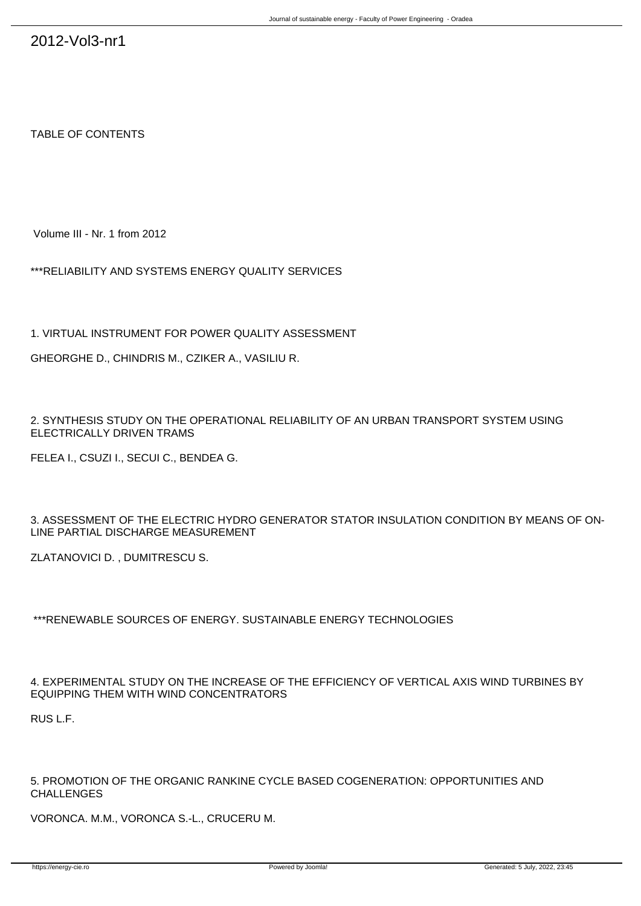TABLE OF CONTENTS

Volume III - Nr. 1 from 2012

\*\*\*RELIABILITY AND SYSTEMS ENERGY QUALITY SERVICES

1. VIRTUAL INSTRUMENT FOR POWER QUALITY ASSESSMENT

GHEORGHE D., CHINDRIS M., CZIKER A., VASILIU R.

2. SYNTHESIS STUDY ON THE OPERATIONAL RELIABILITY OF AN URBAN TRANSPORT SYSTEM USING ELECTRICALLY DRIVEN TRAMS

FELEA I., CSUZI I., SECUI C., BENDEA G.

3. ASSESSMENT OF THE ELECTRIC HYDRO GENERATOR STATOR INSULATION CONDITION BY MEANS OF ON-LINE PARTIAL DISCHARGE MEASUREMENT

ZLATANOVICI D. , DUMITRESCU S.

\*\*\*RENEWABLE SOURCES OF ENERGY. SUSTAINABLE ENERGY TECHNOLOGIES

4. EXPERIMENTAL STUDY ON THE INCREASE OF THE EFFICIENCY OF VERTICAL AXIS WIND TURBINES BY EQUIPPING THEM WITH WIND CONCENTRATORS

RUS L.F.

5. PROMOTION OF THE ORGANIC RANKINE CYCLE BASED COGENERATION: OPPORTUNITIES AND CHALLENGES

VORONCA. M.M., VORONCA S.-L., CRUCERU M.